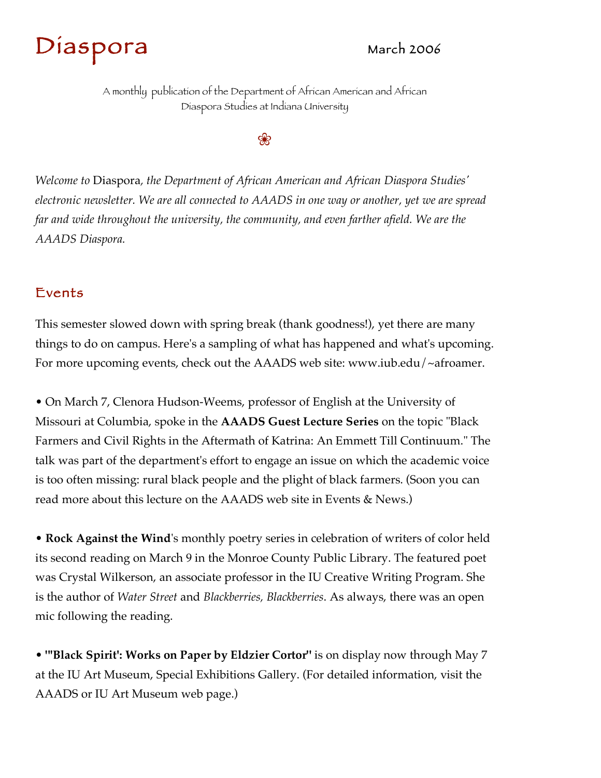



*Welcome to* Diaspora*, the Department of African American and African Diaspora Studies' electronic newsletter. We are all connected to AAADS in one way or another, yet we are spread*  far and wide throughout the university, the community, and even farther afield. We are the

# A monthly publication of the Department of African American and African Diaspora Studies at Indiana University

❀

*AAADS Diaspora.*

## Events

This semester slowed down with spring break (thank goodness!), yet there are many things to do on campus. Here's a sampling of what has happened and what's upcoming. For more upcoming events, check out the AAADS web site: www.iub.edu/~afroamer.

• On March 7, Clenora Hudson-Weems, professor of English at the University of Missouri at Columbia, spoke in the **AAADS Guest Lecture Series** on the topic "Black Farmers and Civil Rights in the Aftermath of Katrina: An Emmett Till Continuum." The talk was part of the department's effort to engage an issue on which the academic voice is too often missing: rural black people and the plight of black farmers. (Soon you can read more about this lecture on the AAADS web site in Events & News.)

• **Rock Against the Wind**'s monthly poetry series in celebration of writers of color held its second reading on March 9 in the Monroe County Public Library. The featured poet was Crystal Wilkerson, an associate professor in the IU Creative Writing Program. She is the author of *Water Street* and *Blackberries, Blackberries*. As always, there was an open mic following the reading.

• **"'Black Spirit': Works on Paper by Eldzier Cortor"** is on display now through May 7

#### at the IU Art Museum, Special Exhibitions Gallery. (For detailed information, visit the

AAADS or IU Art Museum web page.)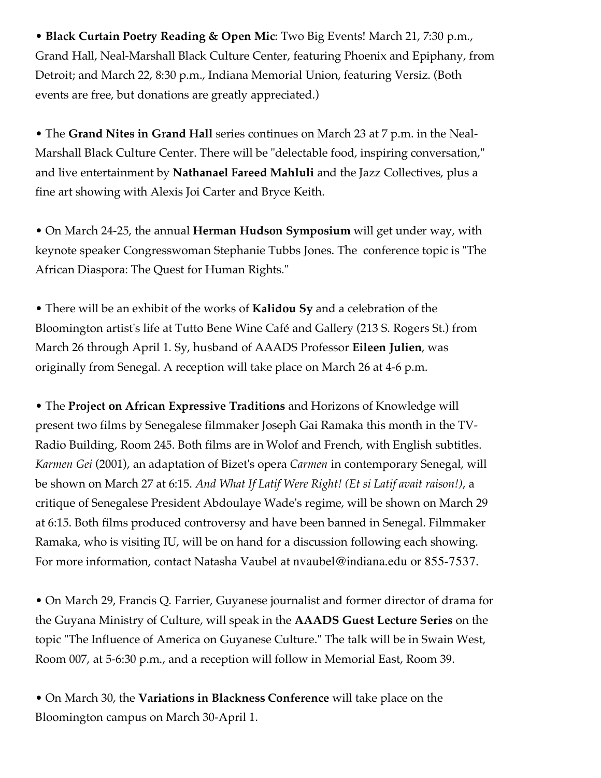• **Black Curtain Poetry Reading & Open Mic**: Two Big Events! March 21, 7:30 p.m., Grand Hall, Neal-Marshall Black Culture Center, featuring Phoenix and Epiphany, from Detroit; and March 22, 8:30 p.m., Indiana Memorial Union, featuring Versiz. (Both events are free, but donations are greatly appreciated.)

• The **Grand Nites in Grand Hall** series continues on March 23 at 7 p.m. in the Neal-Marshall Black Culture Center. There will be "delectable food, inspiring conversation," and live entertainment by **Nathanael Fareed Mahluli** and the Jazz Collectives, plus a fine art showing with Alexis Joi Carter and Bryce Keith.

• On March 24-25, the annual **Herman Hudson Symposium** will get under way, with keynote speaker Congresswoman Stephanie Tubbs Jones. The conference topic is "The African Diaspora: The Quest for Human Rights."

• There will be an exhibit of the works of **Kalidou Sy** and a celebration of the Bloomington artist's life at Tutto Bene Wine Café and Gallery (213 S. Rogers St.) from March 26 through April 1. Sy, husband of AAADS Professor **Eileen Julien**, was originally from Senegal. A reception will take place on March 26 at 4-6 p.m.

• The **Project on African Expressive Traditions** and Horizons of Knowledge will present two films by Senegalese filmmaker Joseph Gai Ramaka this month in the TV-Radio Building, Room 245. Both films are in Wolof and French, with English subtitles. *Karmen Gei* (2001), an adaptation of Bizet's opera *Carmen* in contemporary Senegal, will be shown on March 27 at 6:15. *And What If Latif Were Right! (Et si Latif avait raison!)*, a critique of Senegalese President Abdoulaye Wade's regime, will be shown on March 29 at 6:15. Both films produced controversy and have been banned in Senegal. Filmmaker Ramaka, who is visiting IU, will be on hand for a discussion following each showing. For more information, contact Natasha Vaubel at nvaubel@indiana.edu or 855-7537.

• On March 29, Francis Q. Farrier, Guyanese journalist and former director of drama for the Guyana Ministry of Culture, will speak in the **AAADS Guest Lecture Series** on the topic "The Influence of America on Guyanese Culture." The talk will be in Swain West, Room 007, at 5-6:30 p.m., and a reception will follow in Memorial East, Room 39.

### • On March 30, the **Variations in Blackness Conference** will take place on the

#### Bloomington campus on March 30-April 1.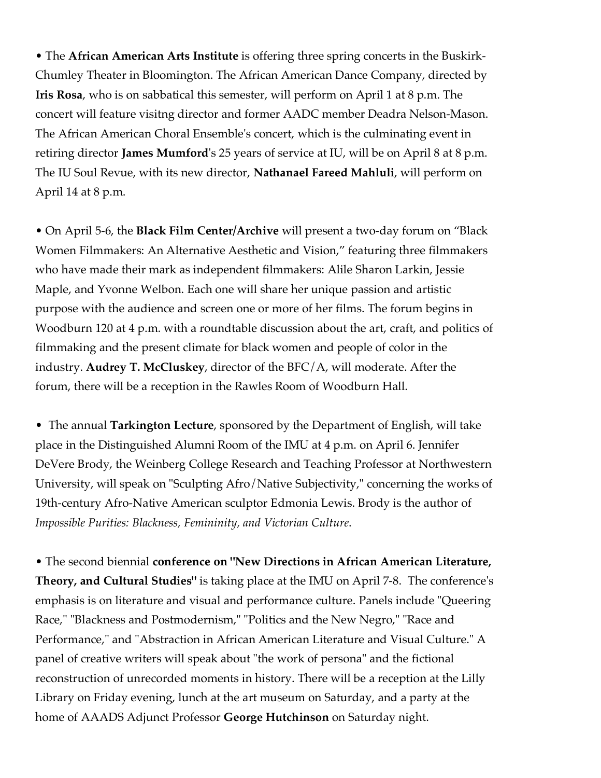• The **African American Arts Institute** is offering three spring concerts in the Buskirk-Chumley Theater in Bloomington. The African American Dance Company, directed by **Iris Rosa**, who is on sabbatical this semester, will perform on April 1 at 8 p.m. The concert will feature visitng director and former AADC member Deadra Nelson-Mason. The African American Choral Ensemble's concert, which is the culminating event in retiring director **James Mumford**'s 25 years of service at IU, will be on April 8 at 8 p.m. The IU Soul Revue, with its new director, **Nathanael Fareed Mahluli**, will perform on April 14 at 8 p.m.

• On April 5-6, the **Black Film Center/Archive** will present a two-day forum on "Black Women Filmmakers: An Alternative Aesthetic and Vision," featuring three filmmakers who have made their mark as independent filmmakers: Alile Sharon Larkin, Jessie Maple, and Yvonne Welbon. Each one will share her unique passion and artistic purpose with the audience and screen one or more of her films. The forum begins in Woodburn 120 at 4 p.m. with a roundtable discussion about the art, craft, and politics of filmmaking and the present climate for black women and people of color in the industry. **Audrey T. McCluskey**, director of the BFC/A, will moderate. After the forum, there will be a reception in the Rawles Room of Woodburn Hall.

- The annual **Tarkington Lecture**, sponsored by the Department of English, will take
- 

place in the Distinguished Alumni Room of the IMU at 4 p.m. on April 6. Jennifer DeVere Brody, the Weinberg College Research and Teaching Professor at Northwestern University, will speak on "Sculpting Afro/Native Subjectivity," concerning the works of 19th-century Afro-Native American sculptor Edmonia Lewis. Brody is the author of *Impossible Purities: Blackness, Femininity, and Victorian Culture*.

• The second biennial **conference on "New Directions in African American Literature, Theory, and Cultural Studies"** is taking place at the IMU on April 7-8. The conference's emphasis is on literature and visual and performance culture. Panels include "Queering Race," "Blackness and Postmodernism," "Politics and the New Negro," "Race and Performance," and "Abstraction in African American Literature and Visual Culture." A panel of creative writers will speak about "the work of persona" and the fictional

## reconstruction of unrecorded moments in history. There will be a reception at the Lilly

Library on Friday evening, lunch at the art museum on Saturday, and a party at the

home of AAADS Adjunct Professor **George Hutchinson** on Saturday night.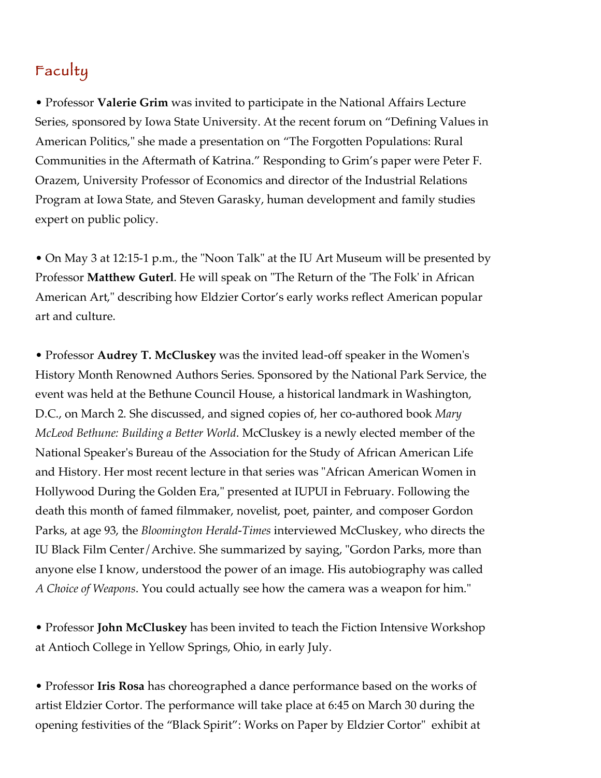

• Professor **Valerie Grim** was invited to participate in the National Affairs Lecture Series, sponsored by Iowa State University. At the recent forum on "Defining Values in American Politics," she made a presentation on "The Forgotten Populations: Rural Communities in the Aftermath of Katrina." Responding to Grim's paper were Peter F. Orazem, University Professor of Economics and director of the Industrial Relations Program at Iowa State, and Steven Garasky, human development and family studies expert on public policy.

• On May 3 at 12:15-1 p.m., the "Noon Talk" at the IU Art Museum will be presented by Professor **Matthew Guterl**. He will speak on "The Return of the 'The Folk' in African American Art," describing how Eldzier Cortor's early works reflect American popular art and culture.

• Professor **Audrey T. McCluskey** was the invited lead-off speaker in the Women's History Month Renowned Authors Series. Sponsored by the National Park Service, the event was held at the Bethune Council House, a historical landmark in Washington, D.C., on March 2. She discussed, and signed copies of, her co-authored book *Mary McLeod Bethune: Building a Better World*. McCluskey is a newly elected member of the

National Speaker's Bureau of the Association for the Study of African American Life and History. Her most recent lecture in that series was "African American Women in Hollywood During the Golden Era," presented at IUPUI in February. Following the death this month of famed filmmaker, novelist, poet, painter, and composer Gordon Parks, at age 93, the *Bloomington Herald-Times* interviewed McCluskey, who directs the IU Black Film Center/Archive. She summarized by saying, "Gordon Parks, more than anyone else I know, understood the power of an image. His autobiography was called *A Choice of Weapons*. You could actually see how the camera was a weapon for him."

• Professor **John McCluskey** has been invited to teach the Fiction Intensive Workshop at Antioch College in Yellow Springs, Ohio, in early July.

## • Professor **Iris Rosa** has choreographed a dance performance based on the works of

artist Eldzier Cortor. The performance will take place at 6:45 on March 30 during the

opening festivities of the "Black Spirit": Works on Paper by Eldzier Cortor" exhibit at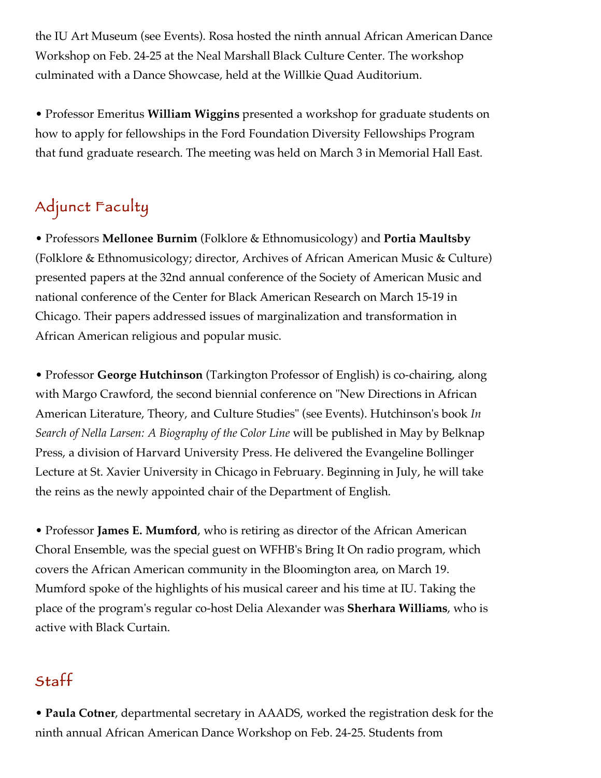the IU Art Museum (see Events). Rosa hosted the ninth annual African American Dance Workshop on Feb. 24-25 at the Neal Marshall Black Culture Center. The workshop culminated with a Dance Showcase, held at the Willkie Quad Auditorium.

• Professor Emeritus **William Wiggins** presented a workshop for graduate students on how to apply for fellowships in the Ford Foundation Diversity Fellowships Program that fund graduate research. The meeting was held on March 3 in Memorial Hall East.

Adjunct Faculty

• Professors **Mellonee Burnim** (Folklore & Ethnomusicology) and **Portia Maultsby** (Folklore & Ethnomusicology; director, Archives of African American Music & Culture) presented papers at the 32nd annual conference of the Society of American Music and national conference of the Center for Black American Research on March 15-19 in Chicago. Their papers addressed issues of marginalization and transformation in African American religious and popular music.

• Professor **George Hutchinson** (Tarkington Professor of English) is co-chairing, along with Margo Crawford, the second biennial conference on "New Directions in African American Literature, Theory, and Culture Studies" (see Events). Hutchinson's book *In Search of Nella Larsen: A Biography of the Color Line* will be published in May by Belknap

Press, a division of Harvard University Press. He delivered the Evangeline Bollinger Lecture at St. Xavier University in Chicago in February. Beginning in July, he will take the reins as the newly appointed chair of the Department of English.

• Professor **James E. Mumford**, who is retiring as director of the African American Choral Ensemble, was the special guest on WFHB's Bring It On radio program, which covers the African American community in the Bloomington area, on March 19. Mumford spoke of the highlights of his musical career and his time at IU. Taking the place of the program's regular co-host Delia Alexander was **Sherhara Williams**, who is active with Black Curtain.



# • **Paula Cotner**, departmental secretary in AAADS, worked the registration desk for the

ninth annual African American Dance Workshop on Feb. 24-25. Students from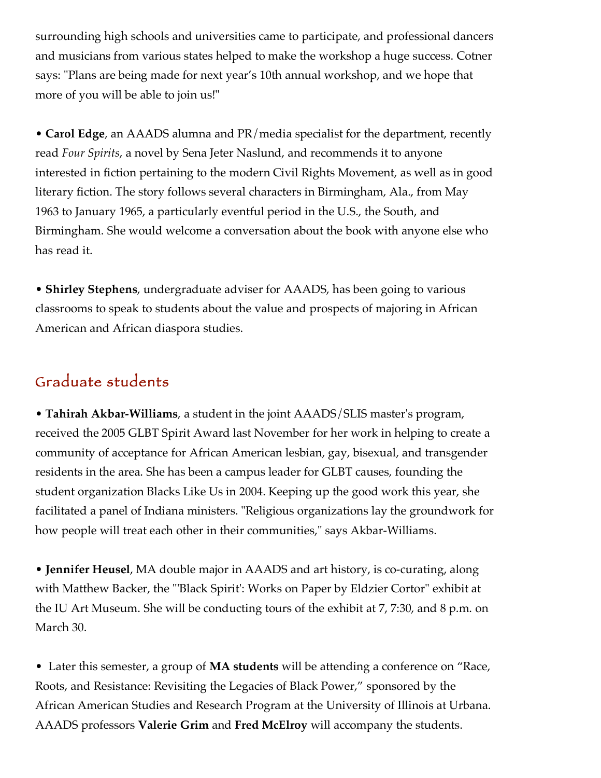surrounding high schools and universities came to participate, and professional dancers and musicians from various states helped to make the workshop a huge success. Cotner says: "Plans are being made for next year's 10th annual workshop, and we hope that more of you will be able to join us!"

• **Carol Edge**, an AAADS alumna and PR/media specialist for the department, recently read *Four Spirits*, a novel by Sena Jeter Naslund, and recommends it to anyone interested in fiction pertaining to the modern Civil Rights Movement, as well as in good literary fiction. The story follows several characters in Birmingham, Ala., from May 1963 to January 1965, a particularly eventful period in the U.S., the South, and

Birmingham. She would welcome a conversation about the book with anyone else who has read it.

• **Shirley Stephens**, undergraduate adviser for AAADS, has been going to various classrooms to speak to students about the value and prospects of majoring in African American and African diaspora studies.

# Graduate students

• **Tahirah Akbar-Williams**, a student in the joint AAADS/SLIS master's program, received the 2005 GLBT Spirit Award last November for her work in helping to create a

community of acceptance for African American lesbian, gay, bisexual, and transgender residents in the area. She has been a campus leader for GLBT causes, founding the student organization Blacks Like Us in 2004. Keeping up the good work this year, she facilitated a panel of Indiana ministers. "Religious organizations lay the groundwork for how people will treat each other in their communities," says Akbar-Williams.

• **Jennifer Heusel**, MA double major in AAADS and art history, is co-curating, along with Matthew Backer, the "'Black Spirit': Works on Paper by Eldzier Cortor" exhibit at the IU Art Museum. She will be conducting tours of the exhibit at 7, 7:30, and 8 p.m. on March 30.

• Later this semester, a group of **MA students** will be attending a conference on "Race,

Roots, and Resistance: Revisiting the Legacies of Black Power," sponsored by the

African American Studies and Research Program at the University of Illinois at Urbana.

AAADS professors **Valerie Grim** and **Fred McElroy** will accompany the students.